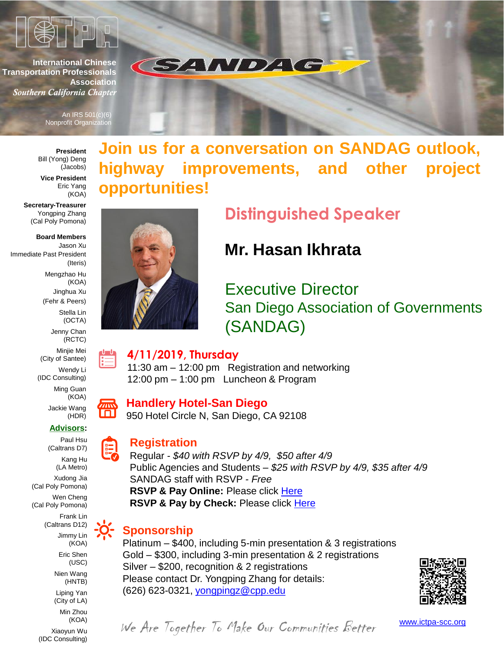

**International Chinese Transportation Professionals Association** *Southern California Chapter*

> An IRS 501(c)(6) **Nonprofit Organization**

**President** Bill (Yong) Deng (Jacobs)

**Vice President** Eric Yang (KOA)

**Secretary-Treasurer** Yongping Zhang (Cal Poly Pomona)

**Board Members** Jason Xu Immediate Past President (Iteris) Mengzhao Hu (KOA) Jinghua Xu (Fehr & Peers) Stella Lin (OCTA) Jenny Chan (RCTC) Minjie Mei

> (City of Santee) Wendy Li (IDC Consulting) Ming Guan (KOA)

Jackie Wang (HDR)

#### **Advisors:**

Paul Hsu (Caltrans D7)

Kang Hu (LA Metro)

Xudong Jia (Cal Poly Pomona) Wen Cheng

(Cal Poly Pomona)

Frank Lin (Caltrans D12) Jimmy Lin

(KOA) Eric Shen

(USC)

Nien Wang (HNTB)

Liping Yan (City of LA) Min Zhou

(KOA) Xiaoyun Wu

(IDC Consulting)

**Join us for a conversation on SANDAG outlook, highway improvements, and other project opportunities!**



## **Distinguished Speaker**

## **Mr. Hasan Ikhrata**

Executive Director San Diego Association of Governments (SANDAG)

#### **4/11/2019, Thursday**

11:30 am – 12:00 pm Registration and networking 12:00 pm – 1:00 pm Luncheon & Program

**SANDA** 

### **Handlery Hotel-San Diego**

950 Hotel Circle N, San Diego, CA 92108

### **Registration**

Regular *- \$40 with RSVP by 4/9, \$50 after 4/9*  Public Agencies and Students *– \$25 with RSVP by 4/9, \$35 after 4/9* SANDAG staff with RSVP *- Free* **RSVP & Pay Online:** Please click [Here](https://www.eventbrite.com/e/ictpa-scc-2019-san-diego-luncheon-meeting-thursday-4112019-tickets-45012442427) **RSVP & Pay by Check:** Please click [Here](https://docs.google.com/forms/d/1M6i6NyPxl7sEAcXv2FxBMWAme2dlE2bzEECfVi3wbtU/viewform?edit_requested=true)

### **Sponsorship**

Platinum – \$400, including 5-min presentation & 3 registrations Gold – \$300, including 3-min presentation & 2 registrations Silver – \$200, recognition & 2 registrations Please contact Dr. Yongping Zhang for details: (626) 623-0321, [yongpingz@cpp.edu](mailto:yongpingz@cpp.edu)



We Are Together To Make Our Communities Better [www.ictpa-scc.org](http://www.ictpa-scc.org/)